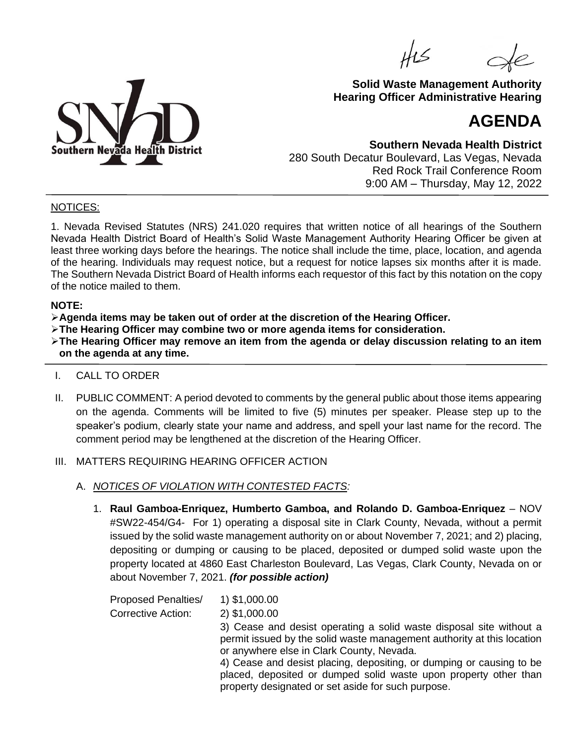HIS



## **Solid Waste Management Authority Hearing Officer Administrative Hearing**

# **AGENDA**

**Southern Nevada Health District** 280 South Decatur Boulevard, Las Vegas, Nevada Red Rock Trail Conference Room 9:00 AM – Thursday, May 12, 2022

## NOTICES:

1. Nevada Revised Statutes (NRS) 241.020 requires that written notice of all hearings of the Southern Nevada Health District Board of Health's Solid Waste Management Authority Hearing Officer be given at least three working days before the hearings. The notice shall include the time, place, location, and agenda of the hearing. Individuals may request notice, but a request for notice lapses six months after it is made. The Southern Nevada District Board of Health informs each requestor of this fact by this notation on the copy of the notice mailed to them.

#### **NOTE:**

➢**Agenda items may be taken out of order at the discretion of the Hearing Officer.**

➢**The Hearing Officer may combine two or more agenda items for consideration.**

➢**The Hearing Officer may remove an item from the agenda or delay discussion relating to an item on the agenda at any time.**

- I. CALL TO ORDER
- II. PUBLIC COMMENT: A period devoted to comments by the general public about those items appearing on the agenda. Comments will be limited to five (5) minutes per speaker. Please step up to the speaker's podium, clearly state your name and address, and spell your last name for the record. The comment period may be lengthened at the discretion of the Hearing Officer.
- III. MATTERS REQUIRING HEARING OFFICER ACTION
	- A. *NOTICES OF VIOLATION WITH CONTESTED FACTS:*
		- 1. **Raul Gamboa-Enriquez, Humberto Gamboa, and Rolando D. Gamboa-Enriquez** NOV #SW22-454/G4- For 1) operating a disposal site in Clark County, Nevada, without a permit issued by the solid waste management authority on or about November 7, 2021; and 2) placing, depositing or dumping or causing to be placed, deposited or dumped solid waste upon the property located at 4860 East Charleston Boulevard, Las Vegas, Clark County, Nevada on or about November 7, 2021. *(for possible action)*

Proposed Penalties/ 1) \$1,000.00 Corrective Action: 2) \$1,000.00 3) Cease and desist operating a solid waste disposal site without a permit issued by the solid waste management authority at this location or anywhere else in Clark County, Nevada. 4) Cease and desist placing, depositing, or dumping or causing to be placed, deposited or dumped solid waste upon property other than property designated or set aside for such purpose.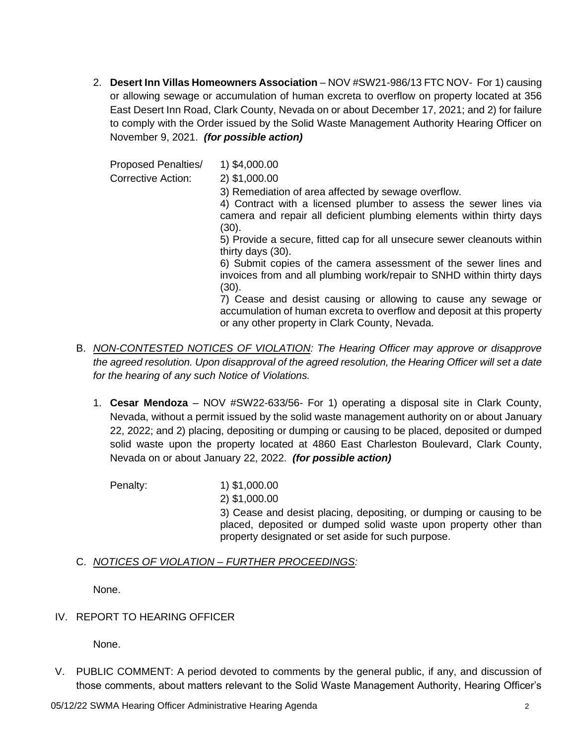2. **Desert Inn Villas Homeowners Association** – NOV #SW21-986/13 FTC NOV- For 1) causing or allowing sewage or accumulation of human excreta to overflow on property located at 356 East Desert Inn Road, Clark County, Nevada on or about December 17, 2021; and 2) for failure to comply with the Order issued by the Solid Waste Management Authority Hearing Officer on November 9, 2021. *(for possible action)*

Proposed Penalties/ 1) \$4,000.00

Corrective Action: 2) \$1,000.00

3) Remediation of area affected by sewage overflow.

4) Contract with a licensed plumber to assess the sewer lines via camera and repair all deficient plumbing elements within thirty days (30).

5) Provide a secure, fitted cap for all unsecure sewer cleanouts within thirty days (30).

6) Submit copies of the camera assessment of the sewer lines and invoices from and all plumbing work/repair to SNHD within thirty days (30).

7) Cease and desist causing or allowing to cause any sewage or accumulation of human excreta to overflow and deposit at this property or any other property in Clark County, Nevada.

- B. *NON-CONTESTED NOTICES OF VIOLATION: The Hearing Officer may approve or disapprove the agreed resolution. Upon disapproval of the agreed resolution, the Hearing Officer will set a date for the hearing of any such Notice of Violations.*
	- 1. **Cesar Mendoza** NOV #SW22-633/56- For 1) operating a disposal site in Clark County, Nevada, without a permit issued by the solid waste management authority on or about January 22, 2022; and 2) placing, depositing or dumping or causing to be placed, deposited or dumped solid waste upon the property located at 4860 East Charleston Boulevard, Clark County, Nevada on or about January 22, 2022. *(for possible action)*

Penalty: 1) \$1,000.00 2) \$1,000.00 3) Cease and desist placing, depositing, or dumping or causing to be placed, deposited or dumped solid waste upon property other than property designated or set aside for such purpose.

# C. *NOTICES OF VIOLATION – FURTHER PROCEEDINGS:*

None.

#### IV. REPORT TO HEARING OFFICER

None.

V. PUBLIC COMMENT: A period devoted to comments by the general public, if any, and discussion of those comments, about matters relevant to the Solid Waste Management Authority, Hearing Officer's